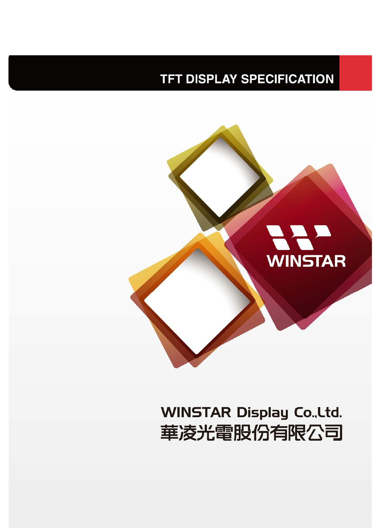## **TFT DISPLAY SPECIFICATION**



# **WINSTAR Display Co., Ltd.** 華凌光電股份有限公司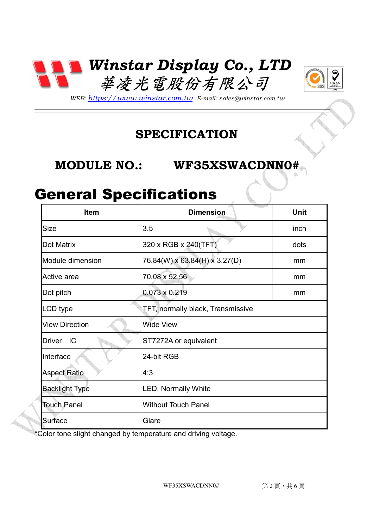



*WEB: https://www.winstar.com.tw E-mail: sales@winstar.com.tw*

#### **SPECIFICATION**

#### **MODULE NO.: WF35XSWACDNN0#**

### General Specifications

| <b>Item</b>           | <b>Dimension</b>                  | <b>Unit</b> |
|-----------------------|-----------------------------------|-------------|
| <b>Size</b>           | 3.5                               | inch        |
| Dot Matrix            | 320 x RGB x 240(TFT)              | dots        |
| Module dimension      | 76.84(W) x 63.84(H) x 3.27(D)     | mm          |
| Active area           | 70.08 x 52.56                     | mm          |
| Dot pitch             | $0.073 \times 0.219$              | mm          |
| LCD type              | TFT, normally black, Transmissive |             |
| <b>View Direction</b> | <b>Wide View</b>                  |             |
| IC<br><b>Driver</b>   | ST7272A or equivalent             |             |
| Interface             | 24-bit RGB                        |             |
| <b>Aspect Ratio</b>   | 4:3                               |             |
| <b>Backlight Type</b> | <b>LED, Normally White</b>        |             |
| <b>Touch Panel</b>    | <b>Without Touch Panel</b>        |             |
| Surface               | Glare                             |             |

\*Color tone slight changed by temperature and driving voltage.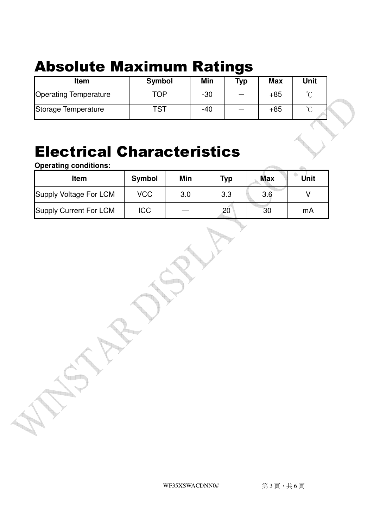# Absolute Maximum Ratings

| <b>Item</b>                  | Symbol     | Min   | Typ | <b>Max</b> | Unit   |
|------------------------------|------------|-------|-----|------------|--------|
| <b>Operating Temperature</b> | TOP        | $-30$ |     | $+85$      | $\sim$ |
| Storage Temperature          | <b>TST</b> | $-40$ |     | $+85$      | $\sim$ |

## Electrical Characteristics

**Operating conditions:** 

| <b>Item</b>            | <b>Symbol</b> | Min | <b>Typ</b> | Max | Unit |
|------------------------|---------------|-----|------------|-----|------|
| Supply Voltage For LCM | <b>VCC</b>    | 3.0 | 3.3        | 3.6 |      |
| Supply Current For LCM | ICC           |     | 20         | 30  | mA   |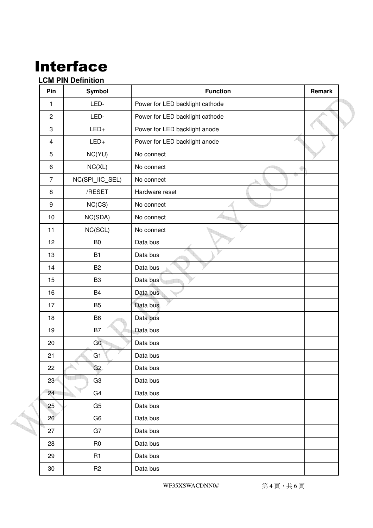# Interface

#### **LCM PIN Definition**

| Pin                     | Symbol          | <b>Function</b>                 | Remark |
|-------------------------|-----------------|---------------------------------|--------|
| $\mathbf{1}$            | LED-            | Power for LED backlight cathode |        |
| $\overline{c}$          | LED-            | Power for LED backlight cathode |        |
| 3                       | $LED+$          | Power for LED backlight anode   |        |
| $\overline{\mathbf{4}}$ | $LED+$          | Power for LED backlight anode   |        |
| 5                       | NC(YU)          | No connect                      |        |
| $\,6\,$                 | NC(XL)          | No connect                      |        |
| $\overline{7}$          | NC(SPI_IIC_SEL) | No connect                      |        |
| 8                       | /RESET          | Hardware reset                  |        |
| $\boldsymbol{9}$        | NC(CS)          | No connect                      |        |
| 10                      | NC(SDA)         | No connect                      |        |
| 11                      | NC(SCL)         | No connect                      |        |
| 12                      | B <sub>0</sub>  | Data bus                        |        |
| 13                      | <b>B1</b>       | Data bus                        |        |
| 14                      | <b>B2</b>       | Data bus                        |        |
| 15                      | B <sub>3</sub>  | Data bus                        |        |
| 16                      | B4              | Data bus                        |        |
| 17                      | B <sub>5</sub>  | Data bus                        |        |
| 18                      | B <sub>6</sub>  | Data bus                        |        |
| 19                      | B7              | Data bus                        |        |
| 20                      | G <sub>0</sub>  | Data bus                        |        |
| 21                      | G1              | Data bus                        |        |
| 22                      | G2              | Data bus                        |        |
| 23                      | G <sub>3</sub>  | Data bus                        |        |
| 24                      | G <sub>4</sub>  | Data bus                        |        |
| 25                      | G <sub>5</sub>  | Data bus                        |        |
| 26                      | G <sub>6</sub>  | Data bus                        |        |
| 27                      | G7              | Data bus                        |        |
| 28                      | R <sub>0</sub>  | Data bus                        |        |
| 29                      | R <sub>1</sub>  | Data bus                        |        |
| $30\,$                  | R <sub>2</sub>  | Data bus                        |        |
|                         |                 |                                 |        |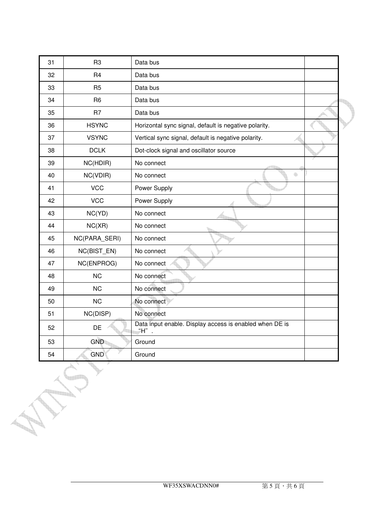| 31 | R <sub>3</sub> | Data bus                                                        |  |
|----|----------------|-----------------------------------------------------------------|--|
| 32 | R <sub>4</sub> | Data bus                                                        |  |
| 33 | R <sub>5</sub> | Data bus                                                        |  |
| 34 | R <sub>6</sub> | Data bus                                                        |  |
| 35 | R <sub>7</sub> | Data bus                                                        |  |
| 36 | <b>HSYNC</b>   | Horizontal sync signal, default is negative polarity.           |  |
| 37 | <b>VSYNC</b>   | Vertical sync signal, default is negative polarity.             |  |
| 38 | <b>DCLK</b>    | Dot-clock signal and oscillator source                          |  |
| 39 | NC(HDIR)       | No connect                                                      |  |
| 40 | NC(VDIR)       | 4<br>No connect                                                 |  |
| 41 | <b>VCC</b>     | Power Supply                                                    |  |
| 42 | <b>VCC</b>     | Power Supply                                                    |  |
| 43 | NC(YD)         | No connect                                                      |  |
| 44 | NC(XR)         | No connect                                                      |  |
| 45 | NC(PARA_SERI)  | No connect                                                      |  |
| 46 | NC(BIST_EN)    | No connect                                                      |  |
| 47 | NC(ENPROG)     | No connect                                                      |  |
| 48 | <b>NC</b>      | No connect                                                      |  |
| 49 | <b>NC</b>      | No connect                                                      |  |
| 50 | <b>NC</b>      | No connect                                                      |  |
| 51 | NC(DISP)       | No connect                                                      |  |
| 52 | DE             | Data input enable. Display access is enabled when DE is<br>"Н". |  |
| 53 | <b>GND</b>     | Ground                                                          |  |
| 54 | <b>GND</b>     | Ground                                                          |  |
|    |                |                                                                 |  |

<u> La Sil</u>

**SERVICE STATE** 

 $\overline{a}$